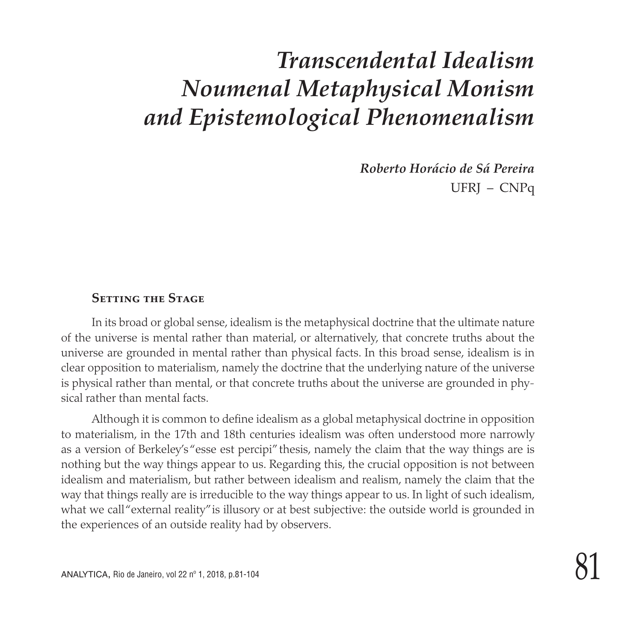## *Transcendental Idealism Noumenal Metaphysical Monism and Epistemological Phenomenalism*

*Roberto Horácio de Sá Pereira* UFRJ – CNPq

#### **Setting the Stage**

In its broad or global sense, idealism is the metaphysical doctrine that the ultimate nature of the universe is mental rather than material, or alternatively, that concrete truths about the universe are grounded in mental rather than physical facts. In this broad sense, idealism is in clear opposition to materialism, namely the doctrine that the underlying nature of the universe is physical rather than mental, or that concrete truths about the universe are grounded in physical rather than mental facts.

Although it is common to define idealism as a global metaphysical doctrine in opposition to materialism, in the 17th and 18th centuries idealism was often understood more narrowly as a version of Berkeley's "esse est percipi" thesis, namely the claim that the way things are is nothing but the way things appear to us. Regarding this, the crucial opposition is not between idealism and materialism, but rather between idealism and realism, namely the claim that the way that things really are is irreducible to the way things appear to us. In light of such idealism, what we call "external reality" is illusory or at best subjective: the outside world is grounded in the experiences of an outside reality had by observers.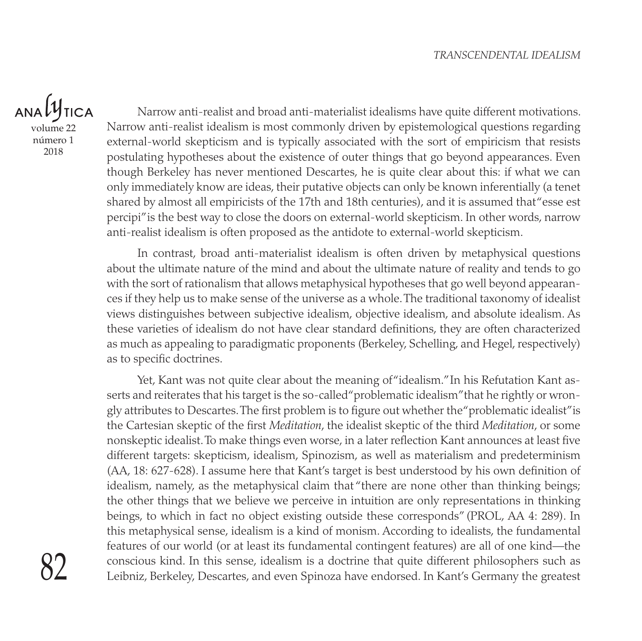$ANDU$ **TICA** volume 22

número 1 2018

Narrow anti-realist and broad anti-materialist idealisms have quite different motivations. Narrow anti-realist idealism is most commonly driven by epistemological questions regarding external-world skepticism and is typically associated with the sort of empiricism that resists postulating hypotheses about the existence of outer things that go beyond appearances. Even though Berkeley has never mentioned Descartes, he is quite clear about this: if what we can only immediately know are ideas, their putative objects can only be known inferentially (a tenet shared by almost all empiricists of the 17th and 18th centuries), and it is assumed that "esse est percipi" is the best way to close the doors on external-world skepticism. In other words, narrow anti-realist idealism is often proposed as the antidote to external-world skepticism.

In contrast, broad anti-materialist idealism is often driven by metaphysical questions about the ultimate nature of the mind and about the ultimate nature of reality and tends to go with the sort of rationalism that allows metaphysical hypotheses that go well beyond appearances if they help us to make sense of the universe as a whole. The traditional taxonomy of idealist views distinguishes between subjective idealism, objective idealism, and absolute idealism. As these varieties of idealism do not have clear standard definitions, they are often characterized as much as appealing to paradigmatic proponents (Berkeley, Schelling, and Hegel, respectively) as to specific doctrines.

Yet, Kant was not quite clear about the meaning of "idealism." In his Refutation Kant asserts and reiterates that his target is the so-called "problematic idealism" that he rightly or wrongly attributes to Descartes. The first problem is to figure out whether the "problematic idealist" is the Cartesian skeptic of the first *Meditation*, the idealist skeptic of the third *Meditation*, or some nonskeptic idealist. To make things even worse, in a later reflection Kant announces at least five different targets: skepticism, idealism, Spinozism, as well as materialism and predeterminism (AA, 18: 627-628). I assume here that Kant's target is best understood by his own definition of idealism, namely, as the metaphysical claim that "there are none other than thinking beings; the other things that we believe we perceive in intuition are only representations in thinking beings, to which in fact no object existing outside these corresponds" (PROL, AA 4: 289). In this metaphysical sense, idealism is a kind of monism. According to idealists, the fundamental features of our world (or at least its fundamental contingent features) are all of one kind—the conscious kind. In this sense, idealism is a doctrine that quite different philosophers such as Leibniz, Berkeley, Descartes, and even Spinoza have endorsed. In Kant's Germany the greatest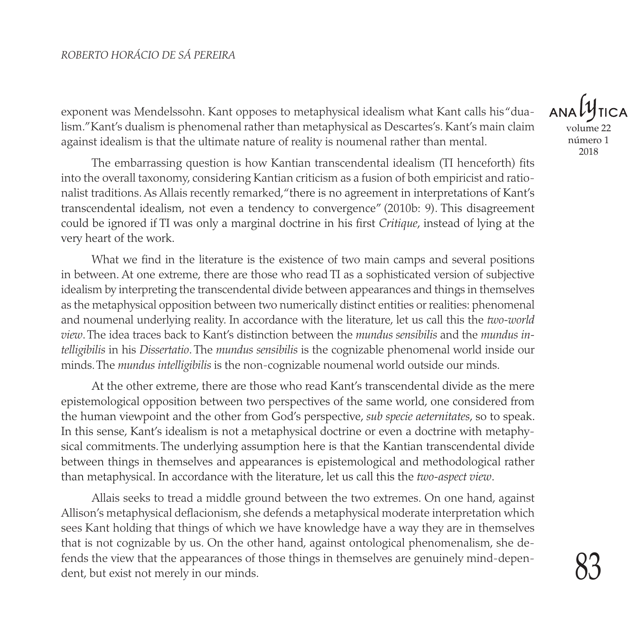#### *ROBERTO HORÁCIO DE SÁ PEREIRA*

exponent was Mendelssohn. Kant opposes to metaphysical idealism what Kant calls his "dualism." Kant's dualism is phenomenal rather than metaphysical as Descartes's. Kant's main claim against idealism is that the ultimate nature of reality is noumenal rather than mental.

The embarrassing question is how Kantian transcendental idealism (TI henceforth) fits into the overall taxonomy, considering Kantian criticism as a fusion of both empiricist and rationalist traditions. As Allais recently remarked, "there is no agreement in interpretations of Kant's transcendental idealism, not even a tendency to convergence" (2010b: 9). This disagreement could be ignored if TI was only a marginal doctrine in his first *Critique*, instead of lying at the very heart of the work.

What we find in the literature is the existence of two main camps and several positions in between. At one extreme, there are those who read TI as a sophisticated version of subjective idealism by interpreting the transcendental divide between appearances and things in themselves as the metaphysical opposition between two numerically distinct entities or realities: phenomenal and noumenal underlying reality. In accordance with the literature, let us call this the *two-world view*. The idea traces back to Kant's distinction between the *mundus sensibilis* and the *mundus intelligibilis* in his *Dissertatio*. The *mundus sensibilis* is the cognizable phenomenal world inside our minds. The *mundus intelligibilis* is the non-cognizable noumenal world outside our minds.

At the other extreme, there are those who read Kant's transcendental divide as the mere epistemological opposition between two perspectives of the same world, one considered from the human viewpoint and the other from God's perspective, *sub specie aeternitates*, so to speak. In this sense, Kant's idealism is not a metaphysical doctrine or even a doctrine with metaphysical commitments. The underlying assumption here is that the Kantian transcendental divide between things in themselves and appearances is epistemological and methodological rather than metaphysical. In accordance with the literature, let us call this the *two-aspect view*.

Allais seeks to tread a middle ground between the two extremes. On one hand, against Allison's metaphysical deflacionism, she defends a metaphysical moderate interpretation which sees Kant holding that things of which we have knowledge have a way they are in themselves that is not cognizable by us. On the other hand, against ontological phenomenalism, she defends the view that the appearances of those things in themselves are genuinely mind-dependent, but exist not merely in our minds.

volume 22 número 1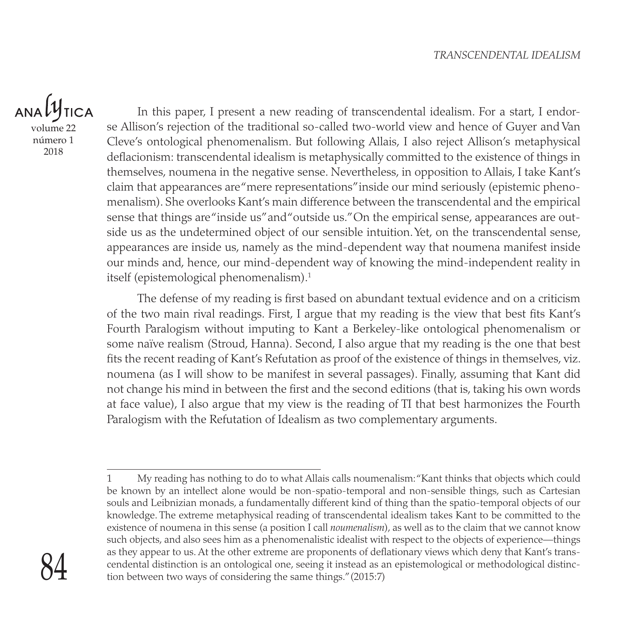### ANAL **TICA**

volume 22 número 1 2018

In this paper, I present a new reading of transcendental idealism. For a start, I endorse Allison's rejection of the traditional so-called two-world view and hence of Guyer and Van Cleve's ontological phenomenalism. But following Allais, I also reject Allison's metaphysical deflacionism: transcendental idealism is metaphysically committed to the existence of things in themselves, noumena in the negative sense. Nevertheless, in opposition to Allais, I take Kant's claim that appearances are "mere representations" inside our mind seriously (epistemic phenomenalism). She overlooks Kant's main difference between the transcendental and the empirical sense that things are "inside us" and "outside us." On the empirical sense, appearances are outside us as the undetermined object of our sensible intuition. Yet, on the transcendental sense, appearances are inside us, namely as the mind-dependent way that noumena manifest inside our minds and, hence, our mind-dependent way of knowing the mind-independent reality in itself (epistemological phenomenalism).<sup>1</sup>

The defense of my reading is first based on abundant textual evidence and on a criticism of the two main rival readings. First, I argue that my reading is the view that best fits Kant's Fourth Paralogism without imputing to Kant a Berkeley-like ontological phenomenalism or some naïve realism (Stroud, Hanna). Second, I also argue that my reading is the one that best fits the recent reading of Kant's Refutation as proof of the existence of things in themselves, viz. noumena (as I will show to be manifest in several passages). Finally, assuming that Kant did not change his mind in between the first and the second editions (that is, taking his own words at face value), I also argue that my view is the reading of TI that best harmonizes the Fourth Paralogism with the Refutation of Idealism as two complementary arguments.

<sup>1</sup> My reading has nothing to do to what Allais calls noumenalism: "Kant thinks that objects which could be known by an intellect alone would be non-spatio-temporal and non-sensible things, such as Cartesian souls and Leibnizian monads, a fundamentally different kind of thing than the spatio-temporal objects of our knowledge. The extreme metaphysical reading of transcendental idealism takes Kant to be committed to the existence of noumena in this sense (a position I call *noumenalism*), as well as to the claim that we cannot know such objects, and also sees him as a phenomenalistic idealist with respect to the objects of experience—things as they appear to us. At the other extreme are proponents of deflationary views which deny that Kant's transcendental distinction is an ontological one, seeing it instead as an epistemological or methodological distinction between two ways of considering the same things." (2015:7)

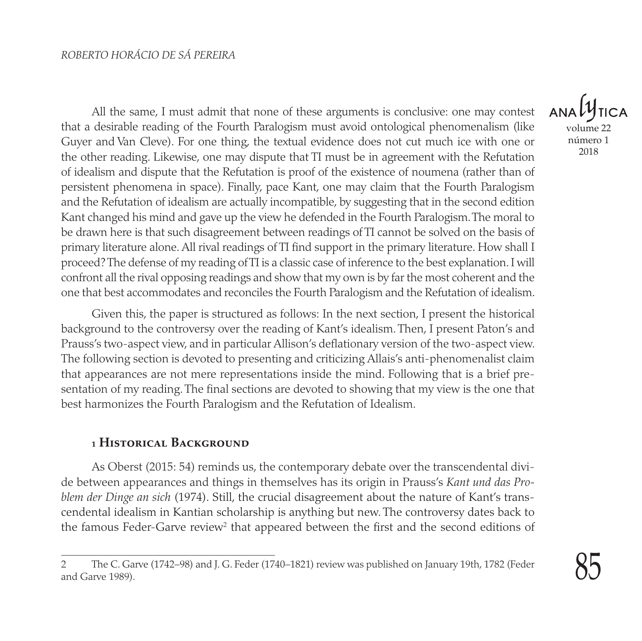All the same, I must admit that none of these arguments is conclusive: one may contest that a desirable reading of the Fourth Paralogism must avoid ontological phenomenalism (like Guyer and Van Cleve). For one thing, the textual evidence does not cut much ice with one or the other reading. Likewise, one may dispute that TI must be in agreement with the Refutation of idealism and dispute that the Refutation is proof of the existence of noumena (rather than of persistent phenomena in space). Finally, pace Kant, one may claim that the Fourth Paralogism and the Refutation of idealism are actually incompatible, by suggesting that in the second edition Kant changed his mind and gave up the view he defended in the Fourth Paralogism. The moral to be drawn here is that such disagreement between readings of TI cannot be solved on the basis of primary literature alone. All rival readings of TI find support in the primary literature. How shall I proceed? The defense of my reading of TI is a classic case of inference to the best explanation. I will confront all the rival opposing readings and show that my own is by far the most coherent and the one that best accommodates and reconciles the Fourth Paralogism and the Refutation of idealism.

Given this, the paper is structured as follows: In the next section, I present the historical background to the controversy over the reading of Kant's idealism. Then, I present Paton's and Prauss's two-aspect view, and in particular Allison's deflationary version of the two-aspect view. The following section is devoted to presenting and criticizing Allais's anti-phenomenalist claim that appearances are not mere representations inside the mind. Following that is a brief presentation of my reading. The final sections are devoted to showing that my view is the one that best harmonizes the Fourth Paralogism and the Refutation of Idealism.

#### **1 Historical Background**

As Oberst (2015: 54) reminds us, the contemporary debate over the transcendental divide between appearances and things in themselves has its origin in Prauss's *Kant und das Problem der Dinge an sich* (1974). Still, the crucial disagreement about the nature of Kant's transcendental idealism in Kantian scholarship is anything but new. The controversy dates back to the famous Feder-Garve review<sup>2</sup> that appeared between the first and the second editions of

volume 22 número 1 2018

<sup>2</sup> The C. Garve (1742–98) and J. G. Feder (1740–1821) review was published on January 19th, 1782 (Feder and Garve 1989).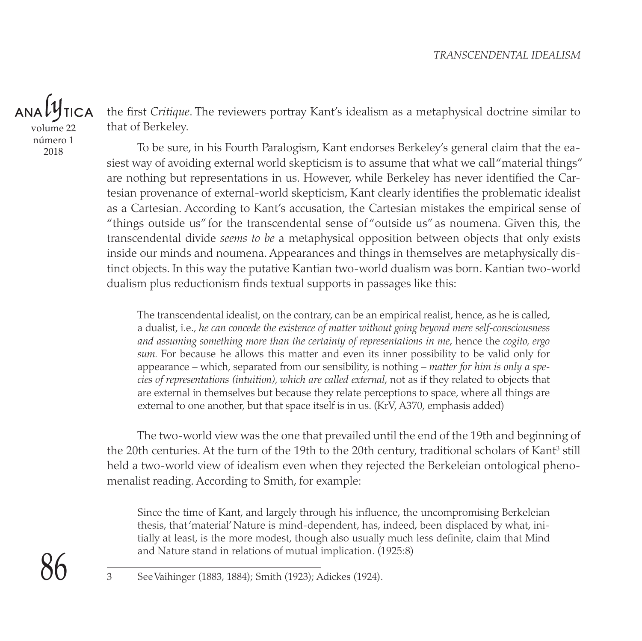volume 22

número 1 2018

the first *Critique*. The reviewers portray Kant's idealism as a metaphysical doctrine similar to that of Berkeley.

To be sure, in his Fourth Paralogism, Kant endorses Berkeley's general claim that the easiest way of avoiding external world skepticism is to assume that what we call "material things" are nothing but representations in us. However, while Berkeley has never identified the Cartesian provenance of external-world skepticism, Kant clearly identifies the problematic idealist as a Cartesian. According to Kant's accusation, the Cartesian mistakes the empirical sense of "things outside us" for the transcendental sense of "outside us" as noumena. Given this, the transcendental divide *seems to be* a metaphysical opposition between objects that only exists inside our minds and noumena. Appearances and things in themselves are metaphysically distinct objects. In this way the putative Kantian two-world dualism was born. Kantian two-world dualism plus reductionism finds textual supports in passages like this:

The transcendental idealist, on the contrary, can be an empirical realist, hence, as he is called, a dualist, i.e., *he can concede the existence of matter without going beyond mere self-consciousness and assuming something more than the certainty of representations in me*, hence the *cogito, ergo sum.* For because he allows this matter and even its inner possibility to be valid only for appearance – which, separated from our sensibility, is nothing – *matter for him is only a species of representations (intuition), which are called external*, not as if they related to objects that are external in themselves but because they relate perceptions to space, where all things are external to one another, but that space itself is in us. (KrV, A370, emphasis added)

The two-world view was the one that prevailed until the end of the 19th and beginning of the 20th centuries. At the turn of the 19th to the 20th century, traditional scholars of Kant<sup>3</sup> still held a two-world view of idealism even when they rejected the Berkeleian ontological phenomenalist reading. According to Smith, for example:

Since the time of Kant, and largely through his influence, the uncompromising Berkeleian thesis, that 'material' Nature is mind-dependent, has, indeed, been displaced by what, initially at least, is the more modest, though also usually much less definite, claim that Mind and Nature stand in relations of mutual implication. (1925:8)

3 See Vaihinger (1883, 1884); Smith (1923); Adickes (1924).

86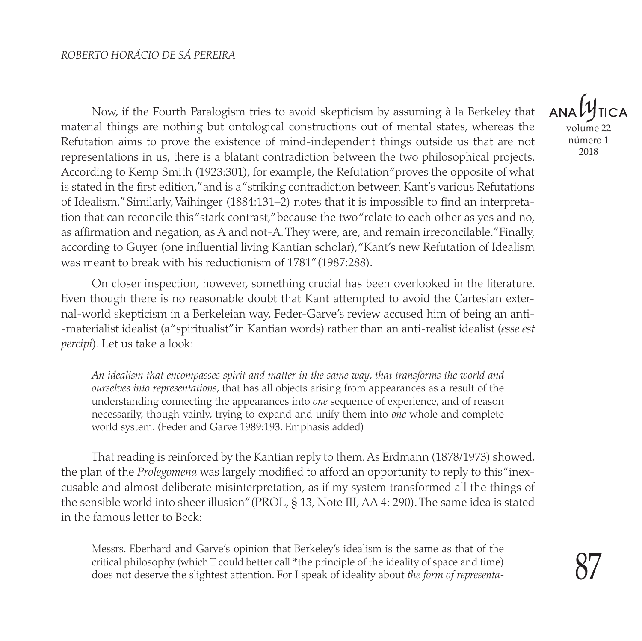Now, if the Fourth Paralogism tries to avoid skepticism by assuming à la Berkeley that material things are nothing but ontological constructions out of mental states, whereas the Refutation aims to prove the existence of mind-independent things outside us that are not representations in us, there is a blatant contradiction between the two philosophical projects. According to Kemp Smith (1923:301), for example, the Refutation "proves the opposite of what is stated in the first edition," and is a "striking contradiction between Kant's various Refutations of Idealism." Similarly, Vaihinger (1884:131–2) notes that it is impossible to find an interpretation that can reconcile this "stark contrast," because the two "relate to each other as yes and no, as affirmation and negation, as A and not-A. They were, are, and remain irreconcilable." Finally, according to Guyer (one influential living Kantian scholar), "Kant's new Refutation of Idealism was meant to break with his reductionism of 1781" (1987:288).

On closer inspection, however, something crucial has been overlooked in the literature. Even though there is no reasonable doubt that Kant attempted to avoid the Cartesian external-world skepticism in a Berkeleian way, Feder-Garve's review accused him of being an anti- -materialist idealist (a "spiritualist" in Kantian words) rather than an anti-realist idealist (*esse est percipi*). Let us take a look:

*An idealism that encompasses spirit and matter in the same way*, *that transforms the world and ourselves into representations*, that has all objects arising from appearances as a result of the understanding connecting the appearances into *one* sequence of experience, and of reason necessarily, though vainly, trying to expand and unify them into *one* whole and complete world system. (Feder and Garve 1989:193. Emphasis added)

That reading is reinforced by the Kantian reply to them. As Erdmann (1878/1973) showed, the plan of the *Prolegomena* was largely modified to afford an opportunity to reply to this "inexcusable and almost deliberate misinterpretation, as if my system transformed all the things of the sensible world into sheer illusion" (PROL, § 13, Note III, AA 4: 290). The same idea is stated in the famous letter to Beck:

Messrs. Eberhard and Garve's opinion that Berkeley's idealism is the same as that of the critical philosophy (which T could better call \*the principle of the ideality of space and time) does not deserve the slightest attention. For I speak of ideality about *the form of representa-*

**ANA** volume 22 número 1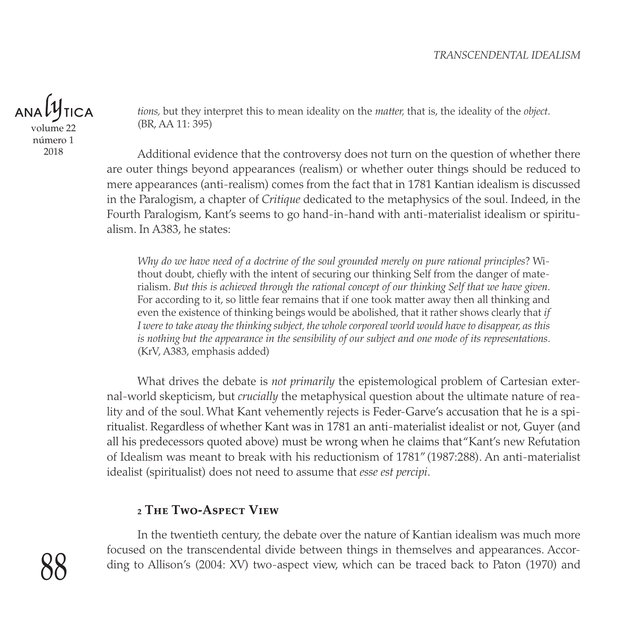#### *TRANSCENDENTAL IDEALISM*

volume 22

número 1 2018

*tions,* but they interpret this to mean ideality on the *matter,* that is, the ideality of the *object*. (BR, AA 11: 395)

Additional evidence that the controversy does not turn on the question of whether there are outer things beyond appearances (realism) or whether outer things should be reduced to mere appearances (anti-realism) comes from the fact that in 1781 Kantian idealism is discussed in the Paralogism, a chapter of *Critique* dedicated to the metaphysics of the soul. Indeed, in the Fourth Paralogism, Kant's seems to go hand-in-hand with anti-materialist idealism or spiritualism. In A383, he states:

*Why do we have need of a doctrine of the soul grounded merely on pure rational principles*? Without doubt, chiefly with the intent of securing our thinking Self from the danger of materialism. *But this is achieved through the rational concept of our thinking Self that we have given*. For according to it, so little fear remains that if one took matter away then all thinking and even the existence of thinking beings would be abolished, that it rather shows clearly that *if I were to take away the thinking subject, the whole corporeal world would have to disappear, as this is nothing but the appearance in the sensibility of our subject and one mode of its representations*. (KrV, A383, emphasis added)

What drives the debate is *not primarily* the epistemological problem of Cartesian external-world skepticism, but *crucially* the metaphysical question about the ultimate nature of reality and of the soul. What Kant vehemently rejects is Feder-Garve's accusation that he is a spiritualist. Regardless of whether Kant was in 1781 an anti-materialist idealist or not, Guyer (and all his predecessors quoted above) must be wrong when he claims that "Kant's new Refutation of Idealism was meant to break with his reductionism of 1781" (1987:288). An anti-materialist idealist (spiritualist) does not need to assume that *esse est percipi*.

#### **2 The Two-Aspect View**

In the twentieth century, the debate over the nature of Kantian idealism was much more focused on the transcendental divide between things in themselves and appearances. According to Allison's (2004: XV) two-aspect view, which can be traced back to Paton (1970) and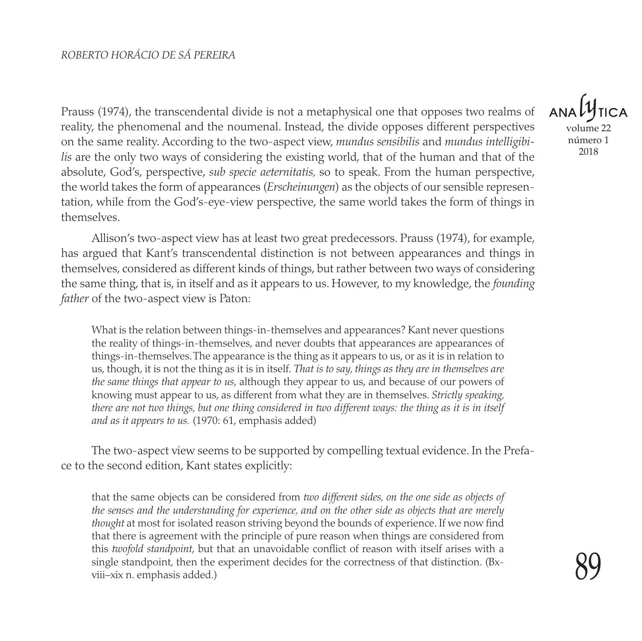Prauss (1974), the transcendental divide is not a metaphysical one that opposes two realms of reality, the phenomenal and the noumenal. Instead, the divide opposes different perspectives on the same reality. According to the two-aspect view, *mundus sensibilis* and *mundus intelligibilis* are the only two ways of considering the existing world, that of the human and that of the absolute, God's, perspective, *sub specie aeternitatis,* so to speak. From the human perspective, the world takes the form of appearances (*Erscheinungen*) as the objects of our sensible representation, while from the God's-eye-view perspective, the same world takes the form of things in themselves.

Allison's two-aspect view has at least two great predecessors. Prauss (1974), for example, has argued that Kant's transcendental distinction is not between appearances and things in themselves, considered as different kinds of things, but rather between two ways of considering the same thing, that is, in itself and as it appears to us. However, to my knowledge, the *founding father* of the two-aspect view is Paton:

What is the relation between things-in-themselves and appearances? Kant never questions the reality of things-in-themselves, and never doubts that appearances are appearances of things-in-themselves. The appearance is the thing as it appears to us, or as it is in relation to us, though, it is not the thing as it is in itself. *That is to say, things as they are in themselves are the same things that appear to us*, although they appear to us, and because of our powers of knowing must appear to us, as different from what they are in themselves. *Strictly speaking, there are not two things, but one thing considered in two different ways: the thing as it is in itself and as it appears to us.* (1970: 61, emphasis added)

The two-aspect view seems to be supported by compelling textual evidence. In the Preface to the second edition, Kant states explicitly:

that the same objects can be considered from *two different sides, on the one side as objects of the senses and the understanding for experience, and on the other side as objects that are merely thought* at most for isolated reason striving beyond the bounds of experience. If we now find that there is agreement with the principle of pure reason when things are considered from this *twofold standpoint*, but that an unavoidable conflict of reason with itself arises with a single standpoint, then the experiment decides for the correctness of that distinction. (Bxviii–xix n. emphasis added.)

**ANA** volume 22 número 1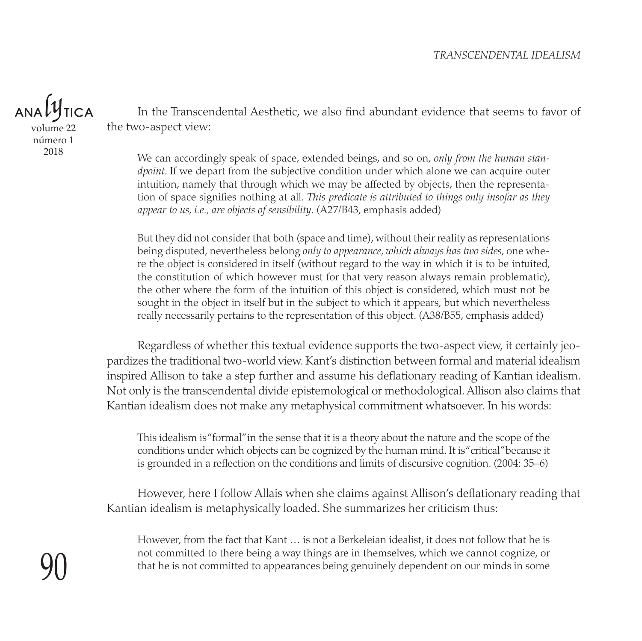$ANDL^{\mu}$ 

volume 22 número 1 2018

In the Transcendental Aesthetic, we also find abundant evidence that seems to favor of the two-aspect view:

We can accordingly speak of space, extended beings, and so on, *only from the human standpoint*. If we depart from the subjective condition under which alone we can acquire outer intuition, namely that through which we may be affected by objects, then the representation of space signifies nothing at all. *This predicate is attributed to things only insofar as they appear to us, i.e., are objects of sensibility*. (A27/B43, emphasis added)

But they did not consider that both (space and time), without their reality as representations being disputed, nevertheless belong *only to appearance, which always has two sides*, one where the object is considered in itself (without regard to the way in which it is to be intuited, the constitution of which however must for that very reason always remain problematic), the other where the form of the intuition of this object is considered, which must not be sought in the object in itself but in the subject to which it appears, but which nevertheless really necessarily pertains to the representation of this object. (A38/B55, emphasis added)

Regardless of whether this textual evidence supports the two-aspect view, it certainly jeopardizes the traditional two-world view. Kant's distinction between formal and material idealism inspired Allison to take a step further and assume his deflationary reading of Kantian idealism. Not only is the transcendental divide epistemological or methodological. Allison also claims that Kantian idealism does not make any metaphysical commitment whatsoever. In his words:

This idealism is "formal" in the sense that it is a theory about the nature and the scope of the conditions under which objects can be cognized by the human mind. It is "critical" because it is grounded in a reflection on the conditions and limits of discursive cognition. (2004: 35–6)

However, here I follow Allais when she claims against Allison's deflationary reading that Kantian idealism is metaphysically loaded. She summarizes her criticism thus:

However, from the fact that Kant … is not a Berkeleian idealist, it does not follow that he is not committed to there being a way things are in themselves, which we cannot cognize, or that he is not committed to appearances being genuinely dependent on our minds in some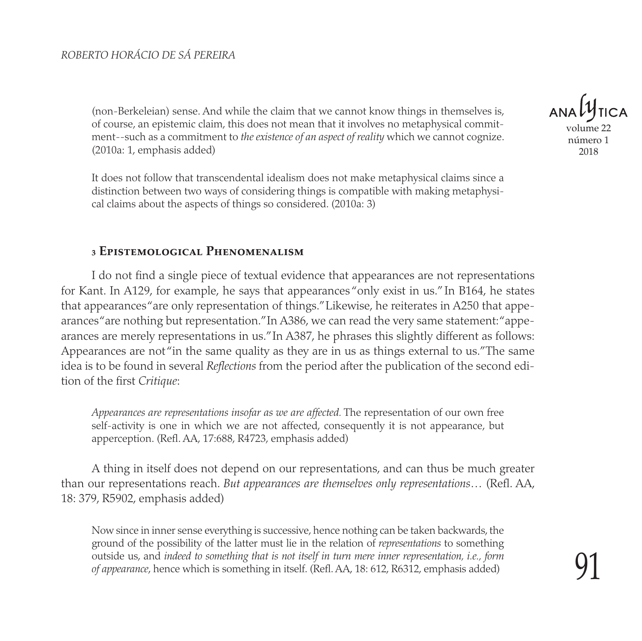(non-Berkeleian) sense. And while the claim that we cannot know things in themselves is, of course, an epistemic claim, this does not mean that it involves no metaphysical commitment--such as a commitment to *the existence of an aspect of reality* which we cannot cognize. (2010a: 1, emphasis added)

It does not follow that transcendental idealism does not make metaphysical claims since a distinction between two ways of considering things is compatible with making metaphysical claims about the aspects of things so considered. (2010a: 3)

#### **3 Epistemological Phenomenalism**

I do not find a single piece of textual evidence that appearances are not representations for Kant. In A129, for example, he says that appearances "only exist in us." In B164, he states that appearances "are only representation of things." Likewise, he reiterates in A250 that appearances "are nothing but representation." In A386, we can read the very same statement: "appearances are merely representations in us." In A387, he phrases this slightly different as follows: Appearances are not "in the same quality as they are in us as things external to us." The same idea is to be found in several *Reflections* from the period after the publication of the second edition of the first *Critique*:

*Appearances are representations insofar as we are affected.* The representation of our own free self-activity is one in which we are not affected, consequently it is not appearance, but apperception. (Refl. AA, 17:688, R4723, emphasis added)

A thing in itself does not depend on our representations, and can thus be much greater than our representations reach. *But appearances are themselves only representations*… (Refl. AA, 18: 379, R5902, emphasis added)

Now since in inner sense everything is successive, hence nothing can be taken backwards, the ground of the possibility of the latter must lie in the relation of *representations* to something outside us, and *indeed to something that is not itself in turn mere inner representation, i.e., form of appearance*, hence which is something in itself. (Refl. AA, 18: 612, R6312, emphasis added)

volume 2′ número 1 2018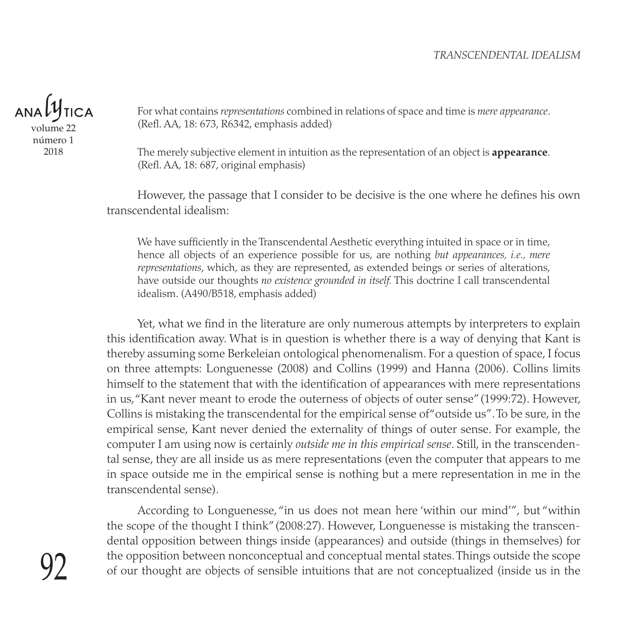#### *TRANSCENDENTAL IDEALISM*

**ANAL** volume 22 número 1

2018

For what contains *representations* combined in relations of space and time is *mere appearance*. (Refl. AA, 18: 673, R6342, emphasis added)

The merely subjective element in intuition as the representation of an object is **appearance**. (Refl. AA, 18: 687, original emphasis)

However, the passage that I consider to be decisive is the one where he defines his own transcendental idealism:

We have sufficiently in the Transcendental Aesthetic everything intuited in space or in time, hence all objects of an experience possible for us, are nothing *but appearances, i.e., mere representations*, which, as they are represented, as extended beings or series of alterations, have outside our thoughts *no existence grounded in itself.* This doctrine I call transcendental idealism. (A490/B518, emphasis added)

Yet, what we find in the literature are only numerous attempts by interpreters to explain this identification away. What is in question is whether there is a way of denying that Kant is thereby assuming some Berkeleian ontological phenomenalism. For a question of space, I focus on three attempts: Longuenesse (2008) and Collins (1999) and Hanna (2006). Collins limits himself to the statement that with the identification of appearances with mere representations in us, "Kant never meant to erode the outerness of objects of outer sense" (1999:72). However, Collins is mistaking the transcendental for the empirical sense of "outside us". To be sure, in the empirical sense, Kant never denied the externality of things of outer sense. For example, the computer I am using now is certainly *outside me in this empirical sense*. Still, in the transcendental sense, they are all inside us as mere representations (even the computer that appears to me in space outside me in the empirical sense is nothing but a mere representation in me in the transcendental sense).

According to Longuenesse, "in us does not mean here 'within our mind'", but "within the scope of the thought I think" (2008:27). However, Longuenesse is mistaking the transcendental opposition between things inside (appearances) and outside (things in themselves) for the opposition between nonconceptual and conceptual mental states. Things outside the scope of our thought are objects of sensible intuitions that are not conceptualized (inside us in the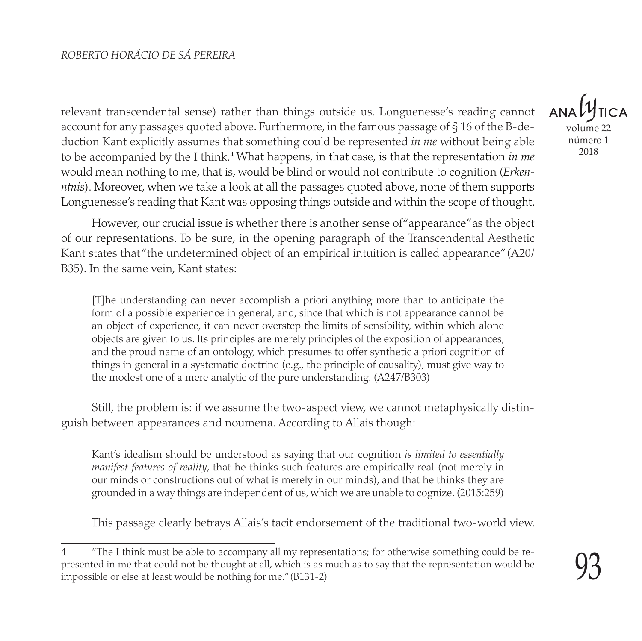relevant transcendental sense) rather than things outside us. Longuenesse's reading cannot account for any passages quoted above. Furthermore, in the famous passage of § 16 of the B-deduction Kant explicitly assumes that something could be represented *in me* without being able to be accompanied by the I think.<sup>4</sup> What happens, in that case, is that the representation *in me* would mean nothing to me, that is, would be blind or would not contribute to cognition (*Erkenntnis*). Moreover, when we take a look at all the passages quoted above, none of them supports Longuenesse's reading that Kant was opposing things outside and within the scope of thought.

However, our crucial issue is whether there is another sense of "appearance" as the object of our representations. To be sure, in the opening paragraph of the Transcendental Aesthetic Kant states that "the undetermined object of an empirical intuition is called appearance" (A20/ B35). In the same vein, Kant states:

[T]he understanding can never accomplish a priori anything more than to anticipate the form of a possible experience in general, and, since that which is not appearance cannot be an object of experience, it can never overstep the limits of sensibility, within which alone objects are given to us. Its principles are merely principles of the exposition of appearances, and the proud name of an ontology, which presumes to offer synthetic a priori cognition of things in general in a systematic doctrine (e.g., the principle of causality), must give way to the modest one of a mere analytic of the pure understanding. (A247/B303)

Still, the problem is: if we assume the two-aspect view, we cannot metaphysically distinguish between appearances and noumena. According to Allais though:

Kant's idealism should be understood as saying that our cognition *is limited to essentially manifest features of reality*, that he thinks such features are empirically real (not merely in our minds or constructions out of what is merely in our minds), and that he thinks they are grounded in a way things are independent of us, which we are unable to cognize. (2015:259)

This passage clearly betrays Allais's tacit endorsement of the traditional two-world view.

volume 22 número 1

<sup>4</sup> "The I think must be able to accompany all my representations; for otherwise something could be represented in me that could not be thought at all, which is as much as to say that the representation would be impossible or else at least would be nothing for me." (B131-2)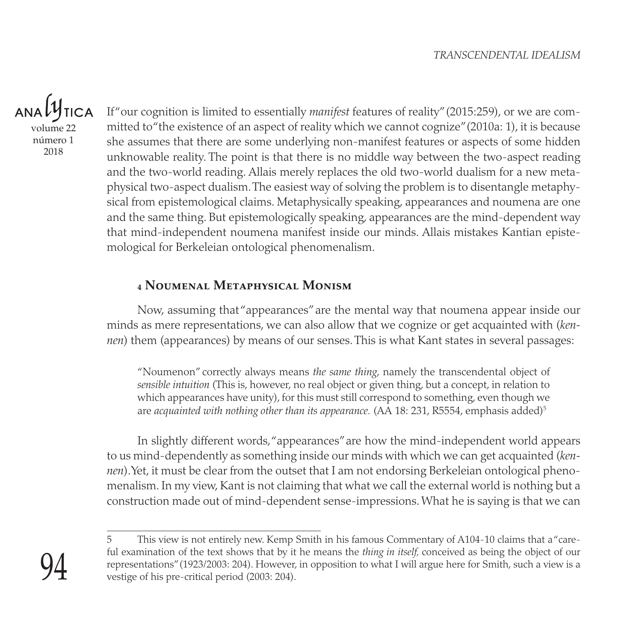ANAL volume 22

número 1 2018

If "our cognition is limited to essentially *manifest* features of reality" (2015:259), or we are committed to "the existence of an aspect of reality which we cannot cognize" (2010a: 1), it is because she assumes that there are some underlying non-manifest features or aspects of some hidden unknowable reality. The point is that there is no middle way between the two-aspect reading and the two-world reading. Allais merely replaces the old two-world dualism for a new metaphysical two-aspect dualism. The easiest way of solving the problem is to disentangle metaphysical from epistemological claims. Metaphysically speaking, appearances and noumena are one and the same thing. But epistemologically speaking, appearances are the mind-dependent way that mind-independent noumena manifest inside our minds. Allais mistakes Kantian epistemological for Berkeleian ontological phenomenalism.

#### **4 Noumenal Metaphysical Monism**

Now, assuming that "appearances" are the mental way that noumena appear inside our minds as mere representations, we can also allow that we cognize or get acquainted with (*kennen*) them (appearances) by means of our senses. This is what Kant states in several passages:

"Noumenon" correctly always means *the same thing*, namely the transcendental object of *sensible intuition* (This is, however, no real object or given thing, but a concept, in relation to which appearances have unity), for this must still correspond to something, even though we are *acquainted with nothing other than its appearance.* (AA 18: 231, R5554, emphasis added)<sup>5</sup>

In slightly different words, "appearances" are how the mind-independent world appears to us mind-dependently as something inside our minds with which we can get acquainted (*kennen*). Yet, it must be clear from the outset that I am not endorsing Berkeleian ontological phenomenalism. In my view, Kant is not claiming that what we call the external world is nothing but a construction made out of mind-dependent sense-impressions. What he is saying is that we can

<sup>5</sup> This view is not entirely new. Kemp Smith in his famous Commentary of A104-10 claims that a "careful examination of the text shows that by it he means the *thing in itself,* conceived as being the object of our representations" (1923/2003: 204). However, in opposition to what I will argue here for Smith, such a view is a vestige of his pre-critical period (2003: 204).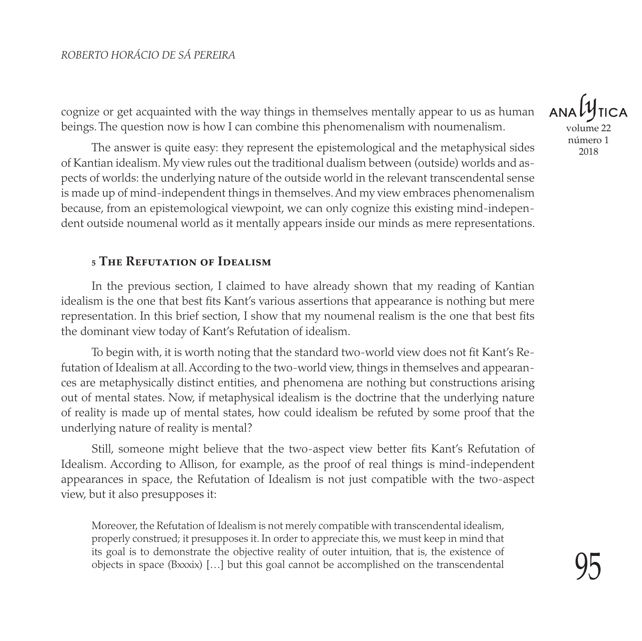cognize or get acquainted with the way things in themselves mentally appear to us as human beings. The question now is how I can combine this phenomenalism with noumenalism.

The answer is quite easy: they represent the epistemological and the metaphysical sides of Kantian idealism. My view rules out the traditional dualism between (outside) worlds and aspects of worlds: the underlying nature of the outside world in the relevant transcendental sense is made up of mind-independent things in themselves. And my view embraces phenomenalism because, from an epistemological viewpoint, we can only cognize this existing mind-independent outside noumenal world as it mentally appears inside our minds as mere representations.

#### **5 The Refutation of Idealism**

In the previous section, I claimed to have already shown that my reading of Kantian idealism is the one that best fits Kant's various assertions that appearance is nothing but mere representation. In this brief section, I show that my noumenal realism is the one that best fits the dominant view today of Kant's Refutation of idealism.

To begin with, it is worth noting that the standard two-world view does not fit Kant's Refutation of Idealism at all. According to the two-world view, things in themselves and appearances are metaphysically distinct entities, and phenomena are nothing but constructions arising out of mental states. Now, if metaphysical idealism is the doctrine that the underlying nature of reality is made up of mental states, how could idealism be refuted by some proof that the underlying nature of reality is mental?

Still, someone might believe that the two-aspect view better fits Kant's Refutation of Idealism. According to Allison, for example, as the proof of real things is mind-independent appearances in space, the Refutation of Idealism is not just compatible with the two-aspect view, but it also presupposes it:

Moreover, the Refutation of Idealism is not merely compatible with transcendental idealism, properly construed; it presupposes it. In order to appreciate this, we must keep in mind that its goal is to demonstrate the objective reality of outer intuition, that is, the existence of objects in space  $(Bxxix)$  [...] but this goal cannot be accomplished on the transcendental

volume 22 número 1 2018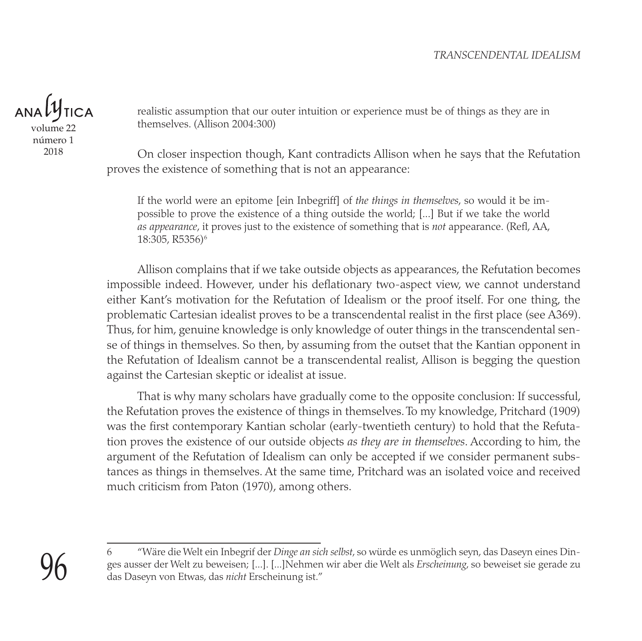

2018

realistic assumption that our outer intuition or experience must be of things as they are in themselves. (Allison 2004:300)

On closer inspection though, Kant contradicts Allison when he says that the Refutation proves the existence of something that is not an appearance:

If the world were an epitome [ein Inbegriff] of *the things in themselves*, so would it be impossible to prove the existence of a thing outside the world; [...] But if we take the world *as appearance*, it proves just to the existence of something that is *not* appearance. (Refl, AA, 18:305, R5356)<sup>6</sup>

Allison complains that if we take outside objects as appearances, the Refutation becomes impossible indeed. However, under his deflationary two-aspect view, we cannot understand either Kant's motivation for the Refutation of Idealism or the proof itself. For one thing, the problematic Cartesian idealist proves to be a transcendental realist in the first place (see A369). Thus, for him, genuine knowledge is only knowledge of outer things in the transcendental sense of things in themselves. So then, by assuming from the outset that the Kantian opponent in the Refutation of Idealism cannot be a transcendental realist, Allison is begging the question against the Cartesian skeptic or idealist at issue.

That is why many scholars have gradually come to the opposite conclusion: If successful, the Refutation proves the existence of things in themselves. To my knowledge, Pritchard (1909) was the first contemporary Kantian scholar (early-twentieth century) to hold that the Refutation proves the existence of our outside objects *as they are in themselves*. According to him, the argument of the Refutation of Idealism can only be accepted if we consider permanent substances as things in themselves. At the same time, Pritchard was an isolated voice and received much criticism from Paton (1970), among others.

<sup>96</sup>

<sup>6</sup> "Wäre die Welt ein Inbegrif der *Dinge an sich selbst*, so würde es unmöglich seyn, das Daseyn eines Dinges ausser der Welt zu beweisen; [...]. [...]Nehmen wir aber die Welt als *Erscheinung*, so beweiset sie gerade zu das Daseyn von Etwas, das *nicht* Erscheinung ist."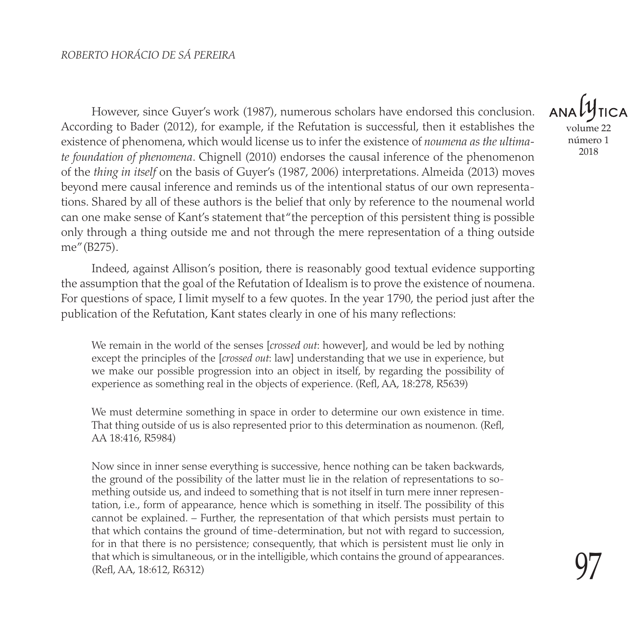However, since Guyer's work (1987), numerous scholars have endorsed this conclusion. According to Bader (2012), for example, if the Refutation is successful, then it establishes the existence of phenomena, which would license us to infer the existence of *noumena as the ultimate foundation of phenomena*. Chignell (2010) endorses the causal inference of the phenomenon of the *thing in itself* on the basis of Guyer's (1987, 2006) interpretations. Almeida (2013) moves beyond mere causal inference and reminds us of the intentional status of our own representations. Shared by all of these authors is the belief that only by reference to the noumenal world can one make sense of Kant's statement that "the perception of this persistent thing is possible only through a thing outside me and not through the mere representation of a thing outside me" (B275).

Indeed, against Allison's position, there is reasonably good textual evidence supporting the assumption that the goal of the Refutation of Idealism is to prove the existence of noumena. For questions of space, I limit myself to a few quotes. In the year 1790, the period just after the publication of the Refutation, Kant states clearly in one of his many reflections:

We remain in the world of the senses [*crossed out*: however], and would be led by nothing except the principles of the [*crossed out*: law] understanding that we use in experience, but we make our possible progression into an object in itself, by regarding the possibility of experience as something real in the objects of experience. (Refl, AA, 18:278, R5639)

We must determine something in space in order to determine our own existence in time. That thing outside of us is also represented prior to this determination as noumenon*.* (Refl, AA 18:416, R5984)

Now since in inner sense everything is successive, hence nothing can be taken backwards, the ground of the possibility of the latter must lie in the relation of representations to something outside us, and indeed to something that is not itself in turn mere inner representation, i.e., form of appearance, hence which is something in itself. The possibility of this cannot be explained. – Further, the representation of that which persists must pertain to that which contains the ground of time-determination, but not with regard to succession, for in that there is no persistence; consequently, that which is persistent must lie only in that which is simultaneous, or in the intelligible, which contains the ground of appearances. (Refl, AA, 18:612, R6312)

volume 22 número 1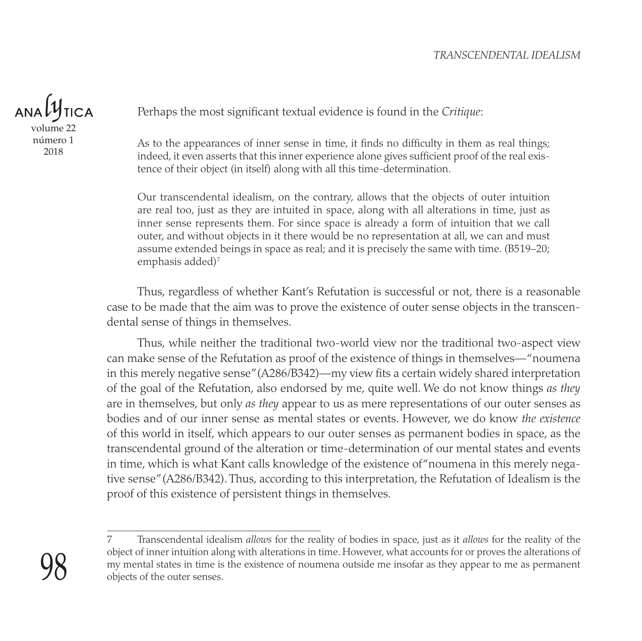#### *TRANSCENDENTAL IDEALISM*

 $ANDU$ volume 22 número 1

2018

Perhaps the most significant textual evidence is found in the *Critique*:

As to the appearances of inner sense in time, it finds no difficulty in them as real things; indeed, it even asserts that this inner experience alone gives sufficient proof of the real existence of their object (in itself) along with all this time-determination.

Our transcendental idealism, on the contrary, allows that the objects of outer intuition are real too, just as they are intuited in space, along with all alterations in time, just as inner sense represents them. For since space is already a form of intuition that we call outer, and without objects in it there would be no representation at all, we can and must assume extended beings in space as real; and it is precisely the same with time. (B519–20; emphasis added) $<sup>7</sup>$ </sup>

Thus, regardless of whether Kant's Refutation is successful or not, there is a reasonable case to be made that the aim was to prove the existence of outer sense objects in the transcendental sense of things in themselves.

Thus, while neither the traditional two-world view nor the traditional two-aspect view can make sense of the Refutation as proof of the existence of things in themselves— "noumena in this merely negative sense" (A286/B342)—my view fits a certain widely shared interpretation of the goal of the Refutation, also endorsed by me, quite well. We do not know things *as they* are in themselves, but only *as they* appear to us as mere representations of our outer senses as bodies and of our inner sense as mental states or events. However, we do know *the existence* of this world in itself, which appears to our outer senses as permanent bodies in space, as the transcendental ground of the alteration or time-determination of our mental states and events in time, which is what Kant calls knowledge of the existence of "noumena in this merely negative sense" (A286/B342). Thus, according to this interpretation, the Refutation of Idealism is the proof of this existence of persistent things in themselves.

<sup>7</sup> Transcendental idealism *allows* for the reality of bodies in space, just as it *allows* for the reality of the object of inner intuition along with alterations in time. However, what accounts for or proves the alterations of my mental states in time is the existence of noumena outside me insofar as they appear to me as permanent objects of the outer senses.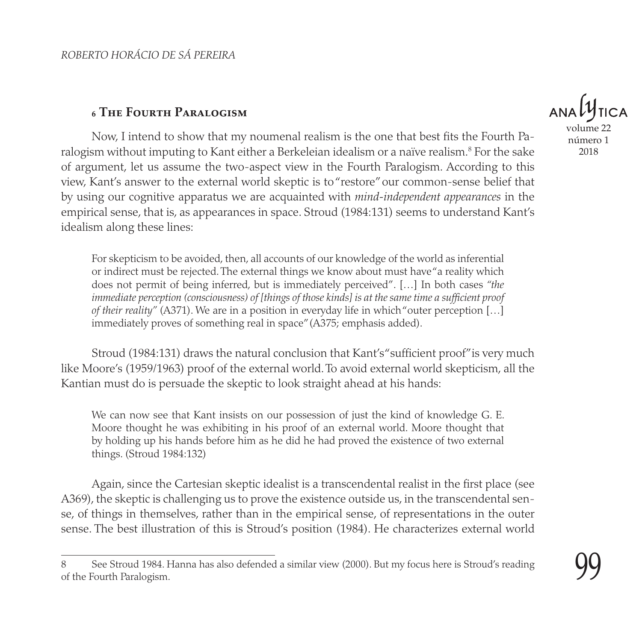#### **6 The Fourth Paralogism**

Now, I intend to show that my noumenal realism is the one that best fits the Fourth Paralogism without imputing to Kant either a Berkeleian idealism or a naïve realism.8 For the sake of argument, let us assume the two-aspect view in the Fourth Paralogism. According to this view, Kant's answer to the external world skeptic is to "restore" our common-sense belief that by using our cognitive apparatus we are acquainted with *mind-independent appearances* in the empirical sense, that is, as appearances in space. Stroud (1984:131) seems to understand Kant's idealism along these lines:

For skepticism to be avoided, then, all accounts of our knowledge of the world as inferential or indirect must be rejected. The external things we know about must have "a reality which does not permit of being inferred, but is immediately perceived". […] In both cases *"the immediate perception (consciousness) of [things of those kinds] is at the same time a sufficient proof of their reality"* (A371). We are in a position in everyday life in which "outer perception […] immediately proves of something real in space" (A375; emphasis added).

Stroud (1984:131) draws the natural conclusion that Kant's "sufficient proof" is very much like Moore's (1959/1963) proof of the external world. To avoid external world skepticism, all the Kantian must do is persuade the skeptic to look straight ahead at his hands:

We can now see that Kant insists on our possession of just the kind of knowledge G. E. Moore thought he was exhibiting in his proof of an external world. Moore thought that by holding up his hands before him as he did he had proved the existence of two external things. (Stroud 1984:132)

Again, since the Cartesian skeptic idealist is a transcendental realist in the first place (see A369), the skeptic is challenging us to prove the existence outside us, in the transcendental sense, of things in themselves, rather than in the empirical sense, of representations in the outer sense. The best illustration of this is Stroud's position (1984). He characterizes external world

volume número 1 2018

<sup>8</sup> See Stroud 1984. Hanna has also defended a similar view (2000). But my focus here is Stroud's reading of the Fourth Paralogism.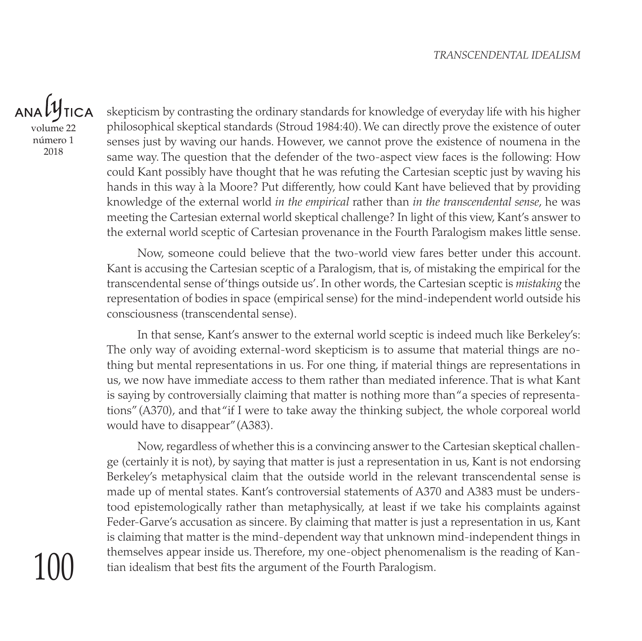$ANDU$ volume 22 número 1 2018

100

skepticism by contrasting the ordinary standards for knowledge of everyday life with his higher philosophical skeptical standards (Stroud 1984:40). We can directly prove the existence of outer senses just by waving our hands. However, we cannot prove the existence of noumena in the same way. The question that the defender of the two-aspect view faces is the following: How could Kant possibly have thought that he was refuting the Cartesian sceptic just by waving his hands in this way à la Moore? Put differently, how could Kant have believed that by providing knowledge of the external world *in the empirical* rather than *in the transcendental sense*, he was meeting the Cartesian external world skeptical challenge? In light of this view, Kant's answer to the external world sceptic of Cartesian provenance in the Fourth Paralogism makes little sense.

Now, someone could believe that the two-world view fares better under this account. Kant is accusing the Cartesian sceptic of a Paralogism, that is, of mistaking the empirical for the transcendental sense of 'things outside us'. In other words, the Cartesian sceptic is *mistaking* the representation of bodies in space (empirical sense) for the mind-independent world outside his consciousness (transcendental sense).

In that sense, Kant's answer to the external world sceptic is indeed much like Berkeley's: The only way of avoiding external-word skepticism is to assume that material things are nothing but mental representations in us. For one thing, if material things are representations in us, we now have immediate access to them rather than mediated inference. That is what Kant is saying by controversially claiming that matter is nothing more than "a species of representations" (A370), and that "if I were to take away the thinking subject, the whole corporeal world would have to disappear" (A383).

Now, regardless of whether this is a convincing answer to the Cartesian skeptical challenge (certainly it is not), by saying that matter is just a representation in us, Kant is not endorsing Berkeley's metaphysical claim that the outside world in the relevant transcendental sense is made up of mental states. Kant's controversial statements of A370 and A383 must be understood epistemologically rather than metaphysically, at least if we take his complaints against Feder-Garve's accusation as sincere. By claiming that matter is just a representation in us, Kant is claiming that matter is the mind-dependent way that unknown mind-independent things in themselves appear inside us. Therefore, my one-object phenomenalism is the reading of Kantian idealism that best fits the argument of the Fourth Paralogism.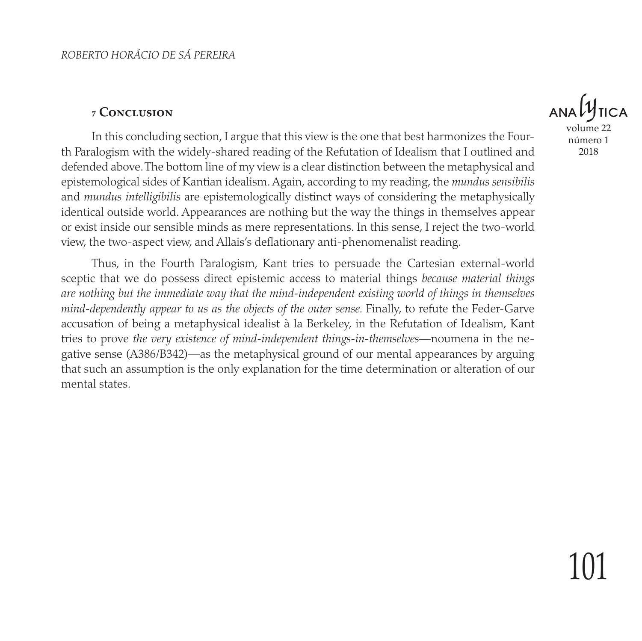#### **7 Conclusion**

In this concluding section, I argue that this view is the one that best harmonizes the Fourth Paralogism with the widely-shared reading of the Refutation of Idealism that I outlined and defended above. The bottom line of my view is a clear distinction between the metaphysical and epistemological sides of Kantian idealism. Again, according to my reading, the *mundus sensibilis* and *mundus intelligibilis* are epistemologically distinct ways of considering the metaphysically identical outside world. Appearances are nothing but the way the things in themselves appear or exist inside our sensible minds as mere representations. In this sense, I reject the two-world view, the two-aspect view, and Allais's deflationary anti-phenomenalist reading.

Thus, in the Fourth Paralogism, Kant tries to persuade the Cartesian external-world sceptic that we do possess direct epistemic access to material things *because material things are nothing but the immediate way that the mind-independent existing world of things in themselves mind-dependently appear to us as the objects of the outer sense.* Finally, to refute the Feder-Garve accusation of being a metaphysical idealist à la Berkeley, in the Refutation of Idealism, Kant tries to prove *the very existence of mind-independent things-in-themselves*—noumena in the negative sense (A386/B342)—as the metaphysical ground of our mental appearances by arguing that such an assumption is the only explanation for the time determination or alteration of our mental states.



número 1 2018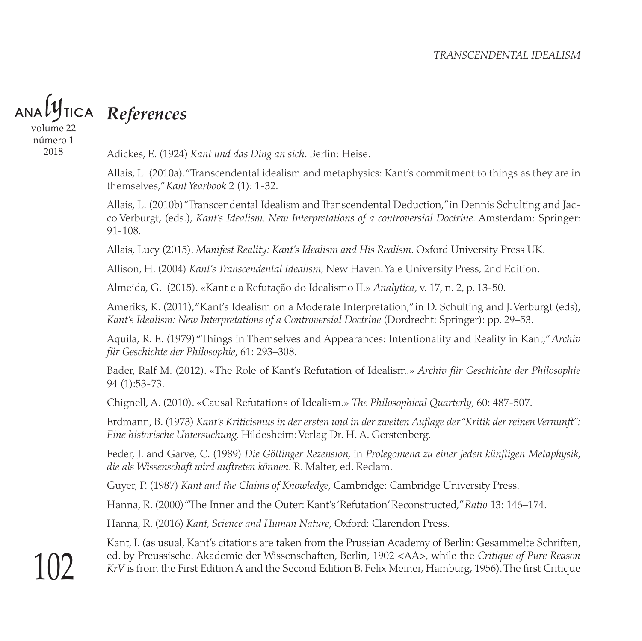*References*

volume 22 número 1 2018

Adickes, E. (1924) *Kant und das Ding an sich*. Berlin: Heise.

Allais, L. (2010a). "Transcendental idealism and metaphysics: Kant's commitment to things as they are in themselves," *Kant Yearbook* 2 (1): 1-32.

Allais, L. (2010b) "Transcendental Idealism and Transcendental Deduction," in Dennis Schulting and Jacco Verburgt, (eds.), *Kant's Idealism. New Interpretations of a controversial Doctrine*. Amsterdam: Springer: 91-108.

Allais, Lucy (2015). *Manifest Reality: Kant's Idealism and His Realism*. Oxford University Press UK.

Allison, H. (2004) *Kant's Transcendental Idealism*, New Haven: Yale University Press, 2nd Edition.

Almeida, G. (2015). «Kant e a Refutação do Idealismo II.» *Analytica*, v. 17, n. 2, p. 13-50.

Ameriks, K. (2011), "Kant's Idealism on a Moderate Interpretation," in D. Schulting and J. Verburgt (eds), *Kant's Idealism: New Interpretations of a Controversial Doctrine* (Dordrecht: Springer): pp. 29–53.

Aquila, R. E. (1979) "Things in Themselves and Appearances: Intentionality and Reality in Kant," *Archiv für Geschichte der Philosophie*, 61: 293–308.

Bader, Ralf M. (2012). «The Role of Kant's Refutation of Idealism.» *Archiv für Geschichte der Philosophie*  94 (1):53-73.

Chignell, A. (2010). «Causal Refutations of Idealism.» *The Philosophical Quarterly*, 60: 487-507.

Erdmann, B. (1973) *Kant's Kriticismus in der ersten und in der zweiten Auflage der "Kritik der reinen Vernunft": Eine historische Untersuchung,* Hildesheim: Verlag Dr. H. A. Gerstenberg.

Feder, J. and Garve, C. (1989) *Die Göttinger Rezension,* in *Prolegomena zu einer jeden künftigen Metaphysik, die als Wissenschaft wird auftreten können*. R. Malter, ed. Reclam.

Guyer, P. (1987) *Kant and the Claims of Knowledge*, Cambridge: Cambridge University Press.

Hanna, R. (2000) "The Inner and the Outer: Kant's 'Refutation' Reconstructed," *Ratio* 13: 146–174.

Hanna, R. (2016) *Kant, Science and Human Nature*, Oxford: Clarendon Press.

Kant, I. (as usual, Kant's citations are taken from the Prussian Academy of Berlin: Gesammelte Schriften, ed. by Preussische. Akademie der Wissenschaften, Berlin, 1902 <AA>, while the *Critique of Pure Reason KrV* is from the First Edition A and the Second Edition B, Felix Meiner, Hamburg, 1956). The first Critique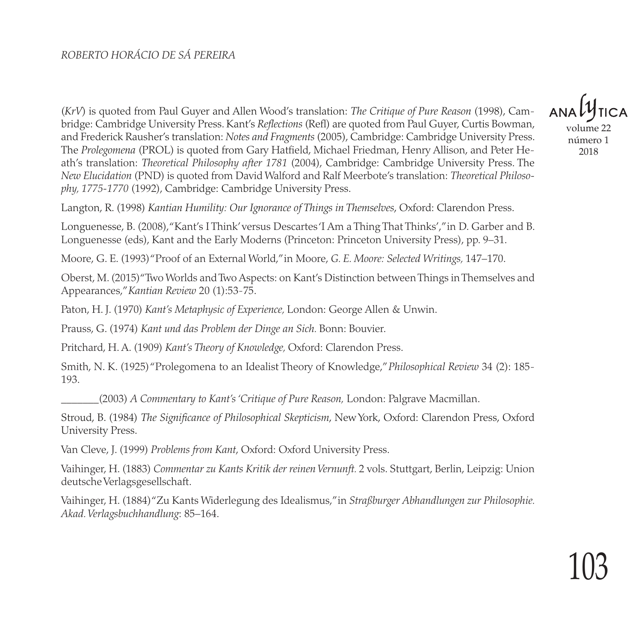(*KrV*) is quoted from Paul Guyer and Allen Wood's translation: *The Critique of Pure Reason* (1998), Cambridge: Cambridge University Press. Kant's *Reflections* (Refl) are quoted from Paul Guyer, Curtis Bowman, and Frederick Rausher's translation: *Notes and Fragments* (2005), Cambridge: Cambridge University Press. The *Prolegomena* (PROL) is quoted from Gary Hatfield, Michael Friedman, Henry Allison, and Peter Heath's translation: *Theoretical Philosophy after 1781* (2004), Cambridge: Cambridge University Press. The *New Elucidation* (PND) is quoted from David Walford and Ralf Meerbote's translation: *Theoretical Philosophy, 1775-1770* (1992), Cambridge: Cambridge University Press.

volume 22

número 1 2018

Langton, R. (1998) *Kantian Humility: Our Ignorance of Things in Themselves*, Oxford: Clarendon Press.

Longuenesse, B. (2008), "Kant's I Think' versus Descartes 'I Am a Thing That Thinks'," in D. Garber and B. Longuenesse (eds), Kant and the Early Moderns (Princeton: Princeton University Press), pp. 9–31.

Moore, G. E. (1993) "Proof of an External World," in Moore, *G. E. Moore: Selected Writings,* 147–170.

Oberst, M. (2015) "Two Worlds and Two Aspects: on Kant's Distinction between Things in Themselves and Appearances," *Kantian Review* 20 (1):53-75.

Paton, H. J. (1970) *Kant's Metaphysic of Experience,* London: George Allen & Unwin.

Prauss, G. (1974) *Kant und das Problem der Dinge an Sich.* Bonn: Bouvier.

Pritchard, H. A. (1909) *Kant's Theory of Knowledge,* Oxford: Clarendon Press.

Smith, N. K. (1925) "Prolegomena to an Idealist Theory of Knowledge," *Philosophical Review* 34 (2): 185- 193.

\_\_\_\_\_\_\_(2003) *A Commentary to Kant's 'Critique of Pure Reason,* London: Palgrave Macmillan.

Stroud, B. (1984) *The Significance of Philosophical Skepticism*, New York, Oxford: Clarendon Press, Oxford University Press.

Van Cleve, J. (1999) *Problems from Kant*, Oxford: Oxford University Press.

Vaihinger, H. (1883) *Commentar zu Kants Kritik der reinen Vernunft.* 2 vols. Stuttgart, Berlin, Leipzig: Union deutsche Verlagsgesellschaft.

Vaihinger, H. (1884) "Zu Kants Widerlegung des Idealismus," in *Straßburger Abhandlungen zur Philosophie. Akad. Verlagsbuchhandlung*: 85–164.